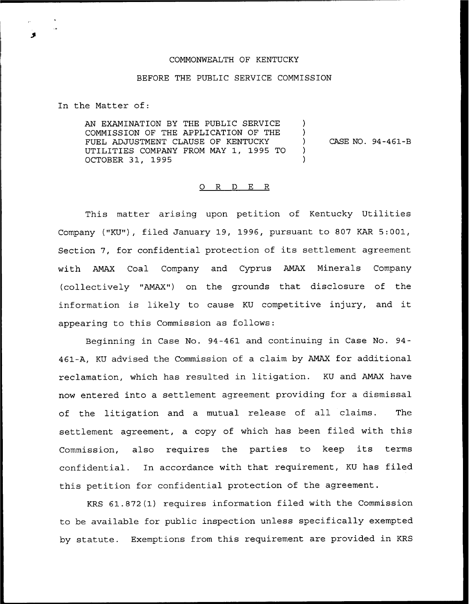## COMMONWEALTH OF KENTUCKY

## BEFORE THE PUBLIC SERVICE COMMISSION

In the Matter of:

AN EXAMINATION BY THE PUBLIC SERVICE COMMISSION OF THE APPLICATION OF THE FUEL ADJUSTMENT CLAUSE OF KENTUCKY UTILITIES COMPANY FROM MAY 1, 1995 TO OCTOBER 31, 1995 ) )<br>) ) )

) CASE NO. 94-461-B

## O R D E R

This matter arising upon petition of Kentucky Utilities Company ("KU"), filed January 19, 1996, pursuant to 807 KAR 5:001, Section 7, for confidential protection of its settlement agreemer<br>with AMAX Coal Company and Cyprus AMAX Minerals Compar with AMAX Coal Company and Cyprus AMAX Minerals Compan (collectively "AMAX") on the grounds that disclosure of the information is likely to cause KU competitive injury, and it appearing to this Commission as follows:

Beginning in Case No. 94-461 and continuing in Case No. 94- 461-A, KU advised the Commission of a claim by AMAX for additional reclamation, which has resulted in litigation. KU and AMAX have now entered into a settlement agreement providing for a dismissal of the litigation and a mutual release of all claims. The settlement agreement, a copy of which has been filed with this Commission, also requires the parties to keep its terms confidential. In accordance with that requirement, KU has filed this petition for confidential protection of the agreement.

KRS 61.872(1) requires information filed with the Commission to be available for public inspection unless specifically exempted by statute. Exemptions from this requirement are provided in KRS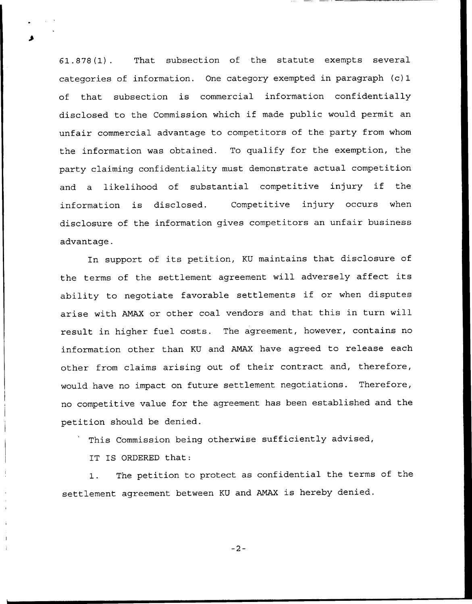61.878(1). That subsection of the statute exempts several categories of information. One category exempted in paragraph (c) 1 of that subsection is commercial information confidentially disclosed to the Commission which if made public would permit an unfair commercial advantage to competitors of the party from whom the information was obtained. To qualify for the exemption, the party claiming confidentiality must demonstrate actual competition and <sup>a</sup> likelihood of substantial competitive injury if the information is disclosed. Competitive injury occurs when disclosure of the information gives competitors an unfair business advantage.

In support of its petition, KU maintains that disclosure of the terms of the settlement agreement will adversely affect its ability to negotiate favorable settlements if or when disputes arise with ANAX or other coal vendors and that this in turn will result in higher fuel costs. The agreement, however, contains no information other than KU and AMAX have agreed to release each other from claims arising out of their contract and, therefore, would have no impact on future settlement negotiations. Therefore, no competitive value for the agreement has been established and the petition should be denied.

This Commission being otherwise sufficiently advised,

IT IS ORDERED that:

1. The petition to protect as confidential the terms of the settlement agreement between KU and ANAX is hereby denied.

 $-2-$